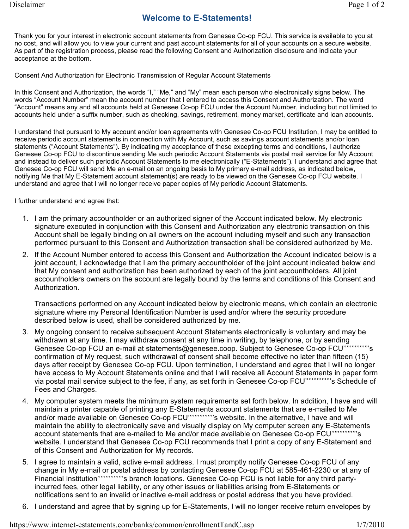Thank you for your interest in electronic account statements from Genesee Co-op FCU. This service is available to you at no cost, and will allow you to view your current and past account statements for all of your accounts on a secure website. As part of the registration process, please read the following Consent and Authorization disclosure and indicate your acceptance at the bottom.

Consent And Authorization for Electronic Transmission of Regular Account Statements

In this Consent and Authorization, the words "I," "Me," and "My" mean each person who electronically signs below. The words "Account Number" mean the account number that I entered to access this Consent and Authorization. The word "Account" means any and all accounts held at Genesee Co-op FCU under the Account Number, including but not limited to accounts held under a suffix number, such as checking, savings, retirement, money market, certificate and loan accounts.

I understand that pursuant to My account and/or loan agreements with Genesee Co-op FCU Institution, I may be entitled to receive periodic account statements in connection with My Account, such as savings account statements and/or loan statements ("Account Statements"). By indicating my acceptance of these excepting terms and conditions, I authorize Genesee Co-op FCU to discontinue sending Me such periodic Account Statements via postal mail service for My Account and instead to deliver such periodic Account Statements to me electronically ("E-Statements"). I understand and agree that Genesee Co-op FCU will send Me an e-mail on an ongoing basis to My primary e-mail address, as indicated below, notifying Me that My E-Statement account statement(s) are ready to be viewed on the Genesee Co-op FCU website. I understand and agree that I will no longer receive paper copies of My periodic Account Statements.

I further understand and agree that:

- 1. I am the primary accountholder or an authorized signer of the Account indicated below. My electronic signature executed in conjunction with this Consent and Authorization any electronic transaction on this Account shall be legally binding on all owners on the account including myself and such any transaction performed pursuant to this Consent and Authorization transaction shall be considered authorized by Me.
- 2. If the Account Number entered to access this Consent and Authorization the Account indicated below is a joint account, I acknowledge that I am the primary accountholder of the joint account indicated below and that My consent and authorization has been authorized by each of the joint accountholders. All joint accountholders owners on the account are legally bound by the terms and conditions of this Consent and Authorization.

Transactions performed on any Account indicated below by electronic means, which contain an electronic signature where my Personal Identification Number is used and/or where the security procedure described below is used, shall be considered authorized by me.

- 3. My ongoing consent to receive subsequent Account Statements electronically is voluntary and may be withdrawn at any time. I may withdraw consent at any time in writing, by telephone, or by sending Genesee Co-op FCU an e-mail at statements@genesee.coop. Subject to Genesee Co-op FCU""""""""""" confirmation of My request, such withdrawal of consent shall become effective no later than fifteen (15) days after receipt by Genesee Co-op FCU. Upon termination, I understand and agree that I will no longer have access to My Account Statements online and that I will receive all Account Statements in paper form via postal mail service subject to the fee, if any, as set forth in Genesee Co-op FCU''''''''''''''''s Schedule of Fees and Charges.
- 4. My computer system meets the minimum system requirements set forth below. In addition, I have and will maintain a printer capable of printing any E-Statements account statements that are e-mailed to Me and/or made available on Genesee Co-op FCU''''''''''''''''s website. In the alternative, I have and will maintain the ability to electronically save and visually display on My computer screen any E-Statements account statements that are e-mailed to Me and/or made available on Genesee Co-op FCU''''''''''''''''s website. I understand that Genesee Co-op FCU recommends that I print a copy of any E-Statement and of this Consent and Authorization for My records.
- 5. I agree to maintain a valid, active e-mail address. I must promptly notify Genesee Co-op FCU of any change in My e-mail or postal address by contacting Genesee Co-op FCU at 585-461-2230 or at any of Financial Institution""'''''''''''''''s branch locations. Genesee Co-op FCU is not liable for any third partyincurred fees, other legal liability, or any other issues or liabilities arising from E-Statements or notifications sent to an invalid or inactive e-mail address or postal address that you have provided.
- 6. I understand and agree that by signing up for E-Statements, I will no longer receive return envelopes by